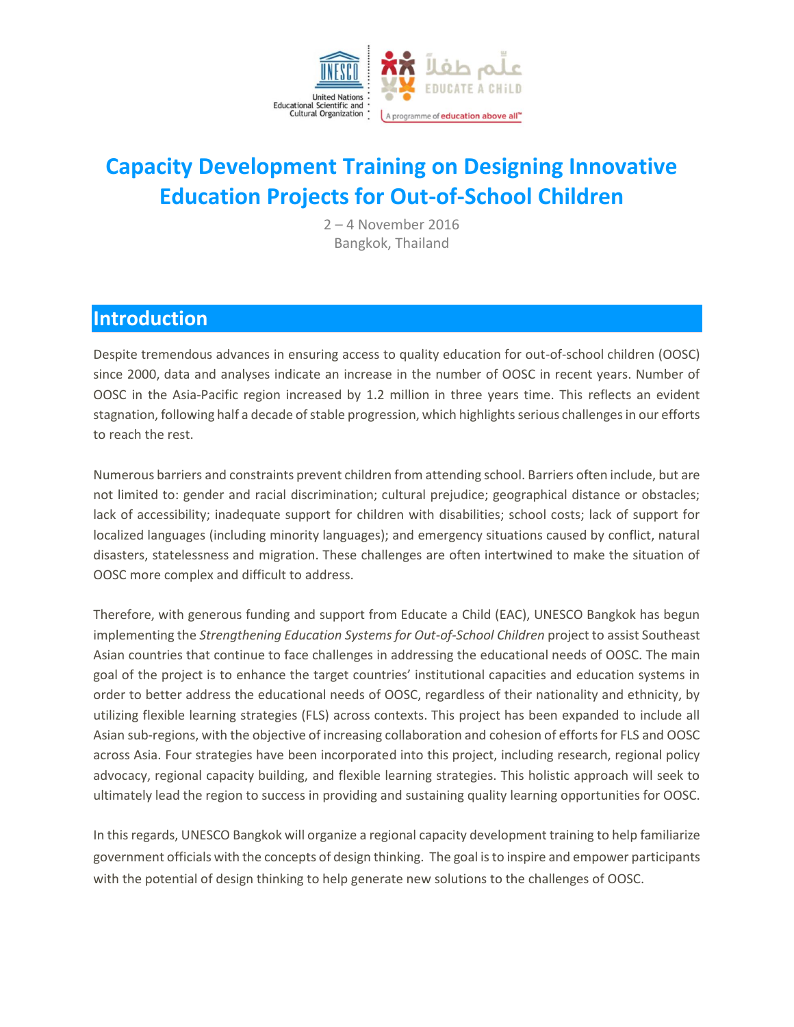

# **Capacity Development Training on Designing Innovative Education Projects for Out-of-School Children**

2 – 4 November 2016 Bangkok, Thailand

#### **Introduction**

Despite tremendous advances in ensuring access to quality education for out-of-school children (OOSC) since 2000, data and analyses indicate an increase in the number of OOSC in recent years. Number of OOSC in the Asia-Pacific region increased by 1.2 million in three years time. This reflects an evident stagnation, following half a decade of stable progression, which highlights serious challenges in our efforts to reach the rest.

Numerous barriers and constraints prevent children from attending school. Barriers often include, but are not limited to: gender and racial discrimination; cultural prejudice; geographical distance or obstacles; lack of accessibility; inadequate support for children with disabilities; school costs; lack of support for localized languages (including minority languages); and emergency situations caused by conflict, natural disasters, statelessness and migration. These challenges are often intertwined to make the situation of OOSC more complex and difficult to address.

Therefore, with generous funding and support from Educate a Child (EAC), UNESCO Bangkok has begun implementing the *Strengthening Education Systems for Out-of-School Children* project to assist Southeast Asian countries that continue to face challenges in addressing the educational needs of OOSC. The main goal of the project is to enhance the target countries' institutional capacities and education systems in order to better address the educational needs of OOSC, regardless of their nationality and ethnicity, by utilizing flexible learning strategies (FLS) across contexts. This project has been expanded to include all Asian sub-regions, with the objective of increasing collaboration and cohesion of efforts for FLS and OOSC across Asia. Four strategies have been incorporated into this project, including research, regional policy advocacy, regional capacity building, and flexible learning strategies. This holistic approach will seek to ultimately lead the region to success in providing and sustaining quality learning opportunities for OOSC.

In this regards, UNESCO Bangkok will organize a regional capacity development training to help familiarize government officials with the concepts of design thinking. The goal is to inspire and empower participants with the potential of design thinking to help generate new solutions to the challenges of OOSC.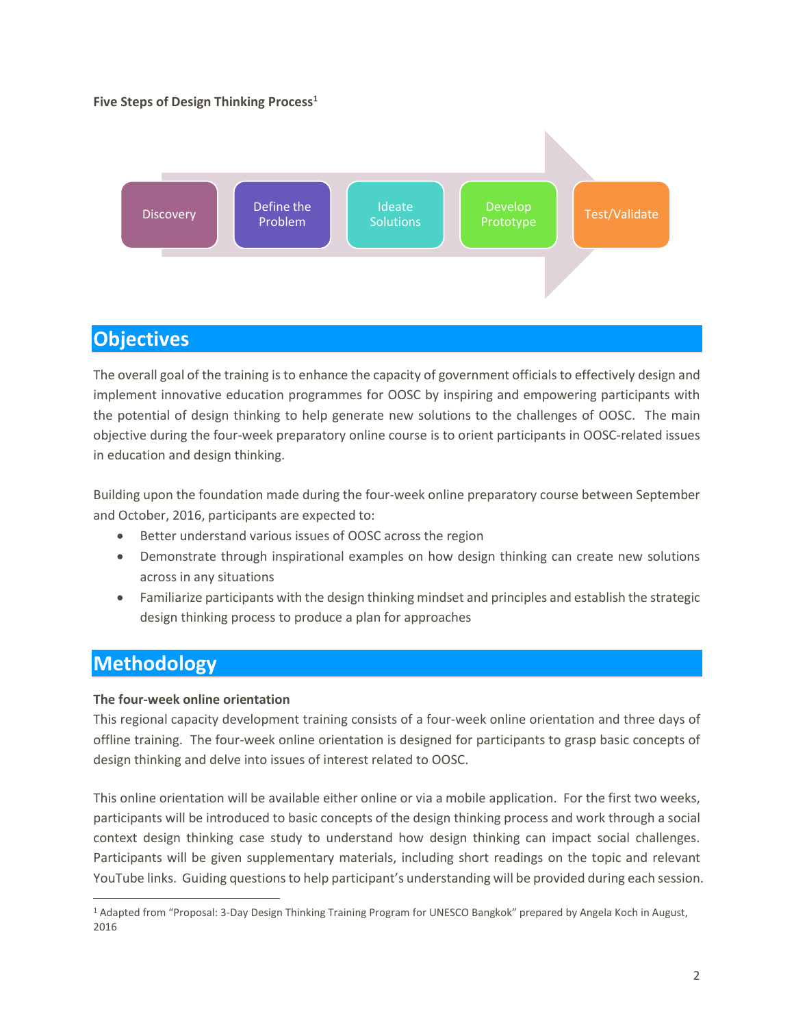#### **Five Steps of Design Thinking Process<sup>1</sup>**



### **Objectives**

The overall goal of the training is to enhance the capacity of government officials to effectively design and implement innovative education programmes for OOSC by inspiring and empowering participants with the potential of design thinking to help generate new solutions to the challenges of OOSC. The main objective during the four-week preparatory online course is to orient participants in OOSC-related issues in education and design thinking.

Building upon the foundation made during the four-week online preparatory course between September and October, 2016, participants are expected to:

- Better understand various issues of OOSC across the region
- Demonstrate through inspirational examples on how design thinking can create new solutions across in any situations
- Familiarize participants with the design thinking mindset and principles and establish the strategic design thinking process to produce a plan for approaches

## **Methodology**

#### **The four-week online orientation**

This regional capacity development training consists of a four-week online orientation and three days of offline training. The four-week online orientation is designed for participants to grasp basic concepts of design thinking and delve into issues of interest related to OOSC.

This online orientation will be available either online or via a mobile application. For the first two weeks, participants will be introduced to basic concepts of the design thinking process and work through a social context design thinking case study to understand how design thinking can impact social challenges. Participants will be given supplementary materials, including short readings on the topic and relevant YouTube links. Guiding questions to help participant's understanding will be provided during each session.

 $\overline{a}$ <sup>1</sup> Adapted from "Proposal: 3-Day Design Thinking Training Program for UNESCO Bangkok" prepared by Angela Koch in August, 2016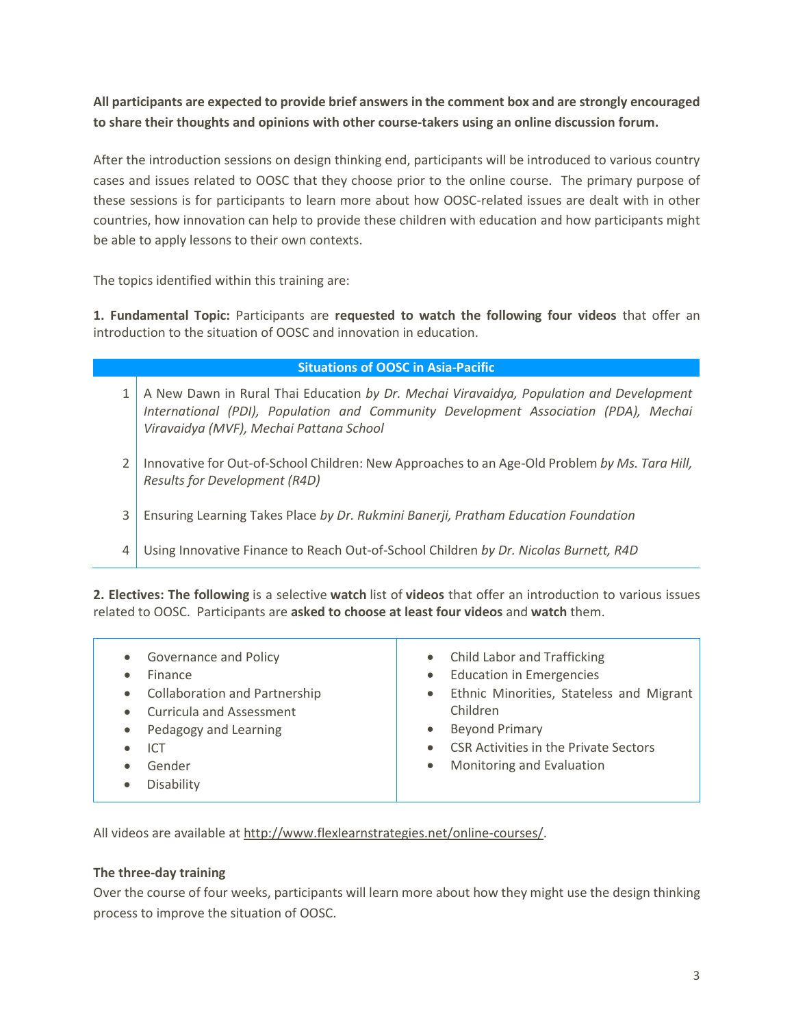**All participants are expected to provide brief answers in the comment box and are strongly encouraged to share their thoughts and opinions with other course-takers using an online discussion forum.** 

After the introduction sessions on design thinking end, participants will be introduced to various country cases and issues related to OOSC that they choose prior to the online course. The primary purpose of these sessions is for participants to learn more about how OOSC-related issues are dealt with in other countries, how innovation can help to provide these children with education and how participants might be able to apply lessons to their own contexts.

The topics identified within this training are:

**1. Fundamental Topic:** Participants are **requested to watch the following four videos** that offer an introduction to the situation of OOSC and innovation in education.

| <b>Situations of OOSC in Asia-Pacific</b> |                                                                                                                                                                                                                           |  |  |  |
|-------------------------------------------|---------------------------------------------------------------------------------------------------------------------------------------------------------------------------------------------------------------------------|--|--|--|
|                                           | A New Dawn in Rural Thai Education by Dr. Mechai Viravaidya, Population and Development<br>International (PDI), Population and Community Development Association (PDA), Mechai<br>Viravaidya (MVF), Mechai Pattana School |  |  |  |
|                                           | Innovative for Out-of-School Children: New Approaches to an Age-Old Problem by Ms. Tara Hill,<br>Results for Development (R4D)                                                                                            |  |  |  |
| 3                                         | Ensuring Learning Takes Place by Dr. Rukmini Banerji, Pratham Education Foundation                                                                                                                                        |  |  |  |
| 4                                         | Using Innovative Finance to Reach Out-of-School Children by Dr. Nicolas Burnett, R4D                                                                                                                                      |  |  |  |
|                                           |                                                                                                                                                                                                                           |  |  |  |

**2. Electives: The following** is a selective **watch** list of **videos** that offer an introduction to various issues related to OOSC. Participants are **asked to choose at least four videos** and **watch** them.

| • Governance and Policy<br>Finance<br>• Collaboration and Partnership<br>• Curricula and Assessment<br>• Pedagogy and Learning<br><b>ICT</b><br>Gender | • Child Labor and Trafficking<br>• Education in Emergencies<br>• Ethnic Minorities, Stateless and Migrant<br>Children<br><b>Beyond Primary</b><br>$\bullet$<br><b>CSR Activities in the Private Sectors</b><br>• Monitoring and Evaluation |
|--------------------------------------------------------------------------------------------------------------------------------------------------------|--------------------------------------------------------------------------------------------------------------------------------------------------------------------------------------------------------------------------------------------|
| Disability                                                                                                                                             |                                                                                                                                                                                                                                            |
|                                                                                                                                                        |                                                                                                                                                                                                                                            |

All videos are available at [http://www.flexlearnstrategies.net/online-courses/.](http://www.flexlearnstrategies.net/online-courses/)

#### **The three-day training**

Over the course of four weeks, participants will learn more about how they might use the design thinking process to improve the situation of OOSC.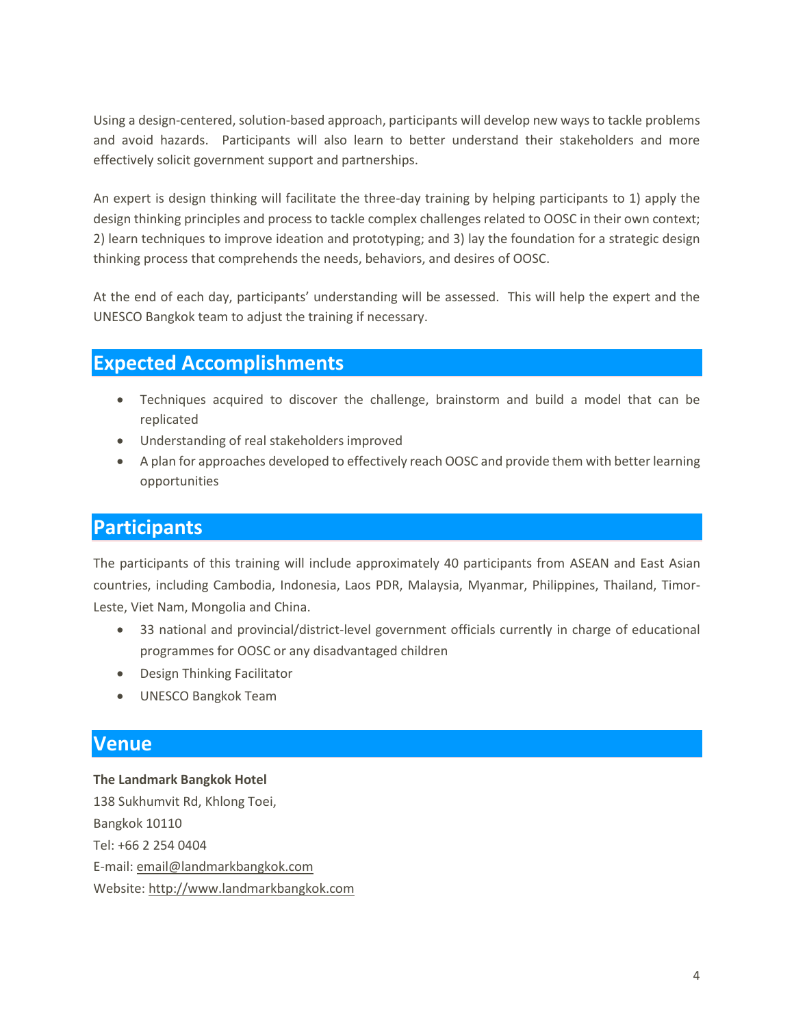Using a design-centered, solution-based approach, participants will develop new ways to tackle problems and avoid hazards. Participants will also learn to better understand their stakeholders and more effectively solicit government support and partnerships.

An expert is design thinking will facilitate the three-day training by helping participants to 1) apply the design thinking principles and process to tackle complex challenges related to OOSC in their own context; 2) learn techniques to improve ideation and prototyping; and 3) lay the foundation for a strategic design thinking process that comprehends the needs, behaviors, and desires of OOSC.

At the end of each day, participants' understanding will be assessed. This will help the expert and the UNESCO Bangkok team to adjust the training if necessary.

#### **Expected Accomplishments**

- Techniques acquired to discover the challenge, brainstorm and build a model that can be replicated
- Understanding of real stakeholders improved
- A plan for approaches developed to effectively reach OOSC and provide them with better learning opportunities

### **Participants**

The participants of this training will include approximately 40 participants from ASEAN and East Asian countries, including Cambodia, Indonesia, Laos PDR, Malaysia, Myanmar, Philippines, Thailand, Timor-Leste, Viet Nam, Mongolia and China.

- 33 national and provincial/district-level government officials currently in charge of educational programmes for OOSC or any disadvantaged children
- Design Thinking Facilitator
- UNESCO Bangkok Team

### **Venue**

**The Landmark Bangkok Hotel** 138 Sukhumvit Rd, Khlong Toei, Bangkok 10110 Tel: +66 2 254 0404 E-mail: [email@landmarkbangkok.com](mailto:email@landmarkbangkok.com) Website[: http://www.landmarkbangkok.com](http://www.landmarkbangkok.com/)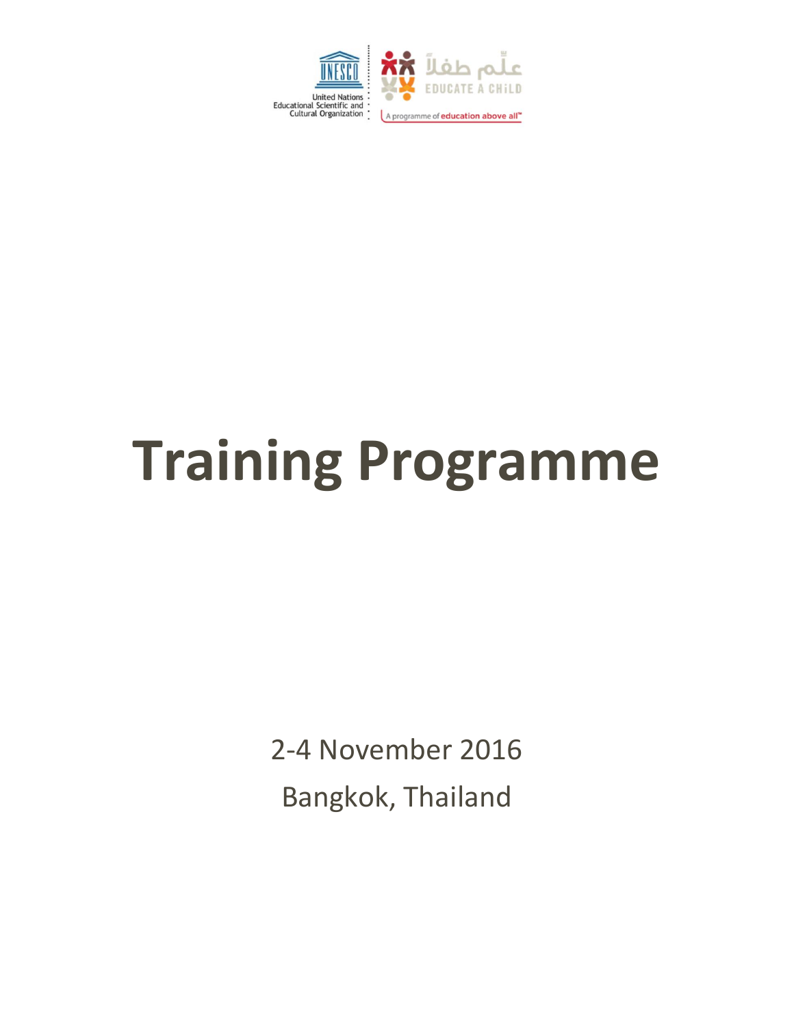

# **Training Programme**

2-4 November 2016 Bangkok, Thailand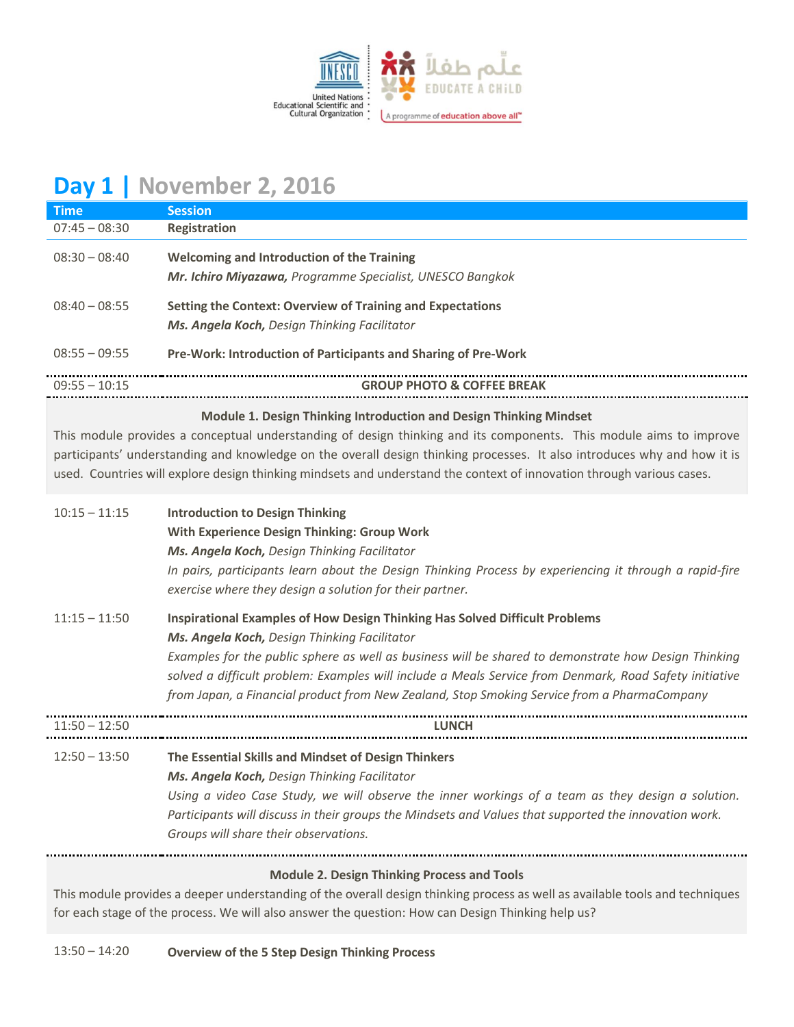

# **Day 1 | November 2, 2016**

| <b>Time</b>                                                                                                                                                                                                                                                                                                                                                             | <b>Session</b>                                                                                                                                                                                                                                                                                                                                                                                                                               |  |  |
|-------------------------------------------------------------------------------------------------------------------------------------------------------------------------------------------------------------------------------------------------------------------------------------------------------------------------------------------------------------------------|----------------------------------------------------------------------------------------------------------------------------------------------------------------------------------------------------------------------------------------------------------------------------------------------------------------------------------------------------------------------------------------------------------------------------------------------|--|--|
| $07:45 - 08:30$                                                                                                                                                                                                                                                                                                                                                         | Registration                                                                                                                                                                                                                                                                                                                                                                                                                                 |  |  |
| $08:30 - 08:40$                                                                                                                                                                                                                                                                                                                                                         | <b>Welcoming and Introduction of the Training</b><br>Mr. Ichiro Miyazawa, Programme Specialist, UNESCO Bangkok                                                                                                                                                                                                                                                                                                                               |  |  |
| $08:40 - 08:55$                                                                                                                                                                                                                                                                                                                                                         | <b>Setting the Context: Overview of Training and Expectations</b><br>Ms. Angela Koch, Design Thinking Facilitator                                                                                                                                                                                                                                                                                                                            |  |  |
| $08:55 - 09:55$                                                                                                                                                                                                                                                                                                                                                         | Pre-Work: Introduction of Participants and Sharing of Pre-Work                                                                                                                                                                                                                                                                                                                                                                               |  |  |
| $09:55 - 10:15$                                                                                                                                                                                                                                                                                                                                                         | <b>GROUP PHOTO &amp; COFFEE BREAK</b>                                                                                                                                                                                                                                                                                                                                                                                                        |  |  |
|                                                                                                                                                                                                                                                                                                                                                                         | Module 1. Design Thinking Introduction and Design Thinking Mindset                                                                                                                                                                                                                                                                                                                                                                           |  |  |
| This module provides a conceptual understanding of design thinking and its components. This module aims to improve<br>participants' understanding and knowledge on the overall design thinking processes. It also introduces why and how it is<br>used. Countries will explore design thinking mindsets and understand the context of innovation through various cases. |                                                                                                                                                                                                                                                                                                                                                                                                                                              |  |  |
| $10:15 - 11:15$                                                                                                                                                                                                                                                                                                                                                         | <b>Introduction to Design Thinking</b><br>With Experience Design Thinking: Group Work<br>Ms. Angela Koch, Design Thinking Facilitator<br>In pairs, participants learn about the Design Thinking Process by experiencing it through a rapid-fire<br>exercise where they design a solution for their partner.                                                                                                                                  |  |  |
| $11:15 - 11:50$                                                                                                                                                                                                                                                                                                                                                         | Inspirational Examples of How Design Thinking Has Solved Difficult Problems<br>Ms. Angela Koch, Design Thinking Facilitator<br>Examples for the public sphere as well as business will be shared to demonstrate how Design Thinking<br>solved a difficult problem: Examples will include a Meals Service from Denmark, Road Safety initiative<br>from Japan, a Financial product from New Zealand, Stop Smoking Service from a PharmaCompany |  |  |
| $11:50 - 12:50$                                                                                                                                                                                                                                                                                                                                                         | <b>LUNCH</b>                                                                                                                                                                                                                                                                                                                                                                                                                                 |  |  |
| $12:50 - 13:50$                                                                                                                                                                                                                                                                                                                                                         | The Essential Skills and Mindset of Design Thinkers<br>Ms. Angela Koch, Design Thinking Facilitator<br>Using a video Case Study, we will observe the inner workings of a team as they design a solution.<br>Participants will discuss in their groups the Mindsets and Values that supported the innovation work.<br>Groups will share their observations.                                                                                   |  |  |
|                                                                                                                                                                                                                                                                                                                                                                         | <b>Module 2. Design Thinking Process and Tools</b>                                                                                                                                                                                                                                                                                                                                                                                           |  |  |
| This module provides a deeper understanding of the overall design thinking process as well as available tools and techniques                                                                                                                                                                                                                                            |                                                                                                                                                                                                                                                                                                                                                                                                                                              |  |  |

for each stage of the process. We will also answer the question: How can Design Thinking help us?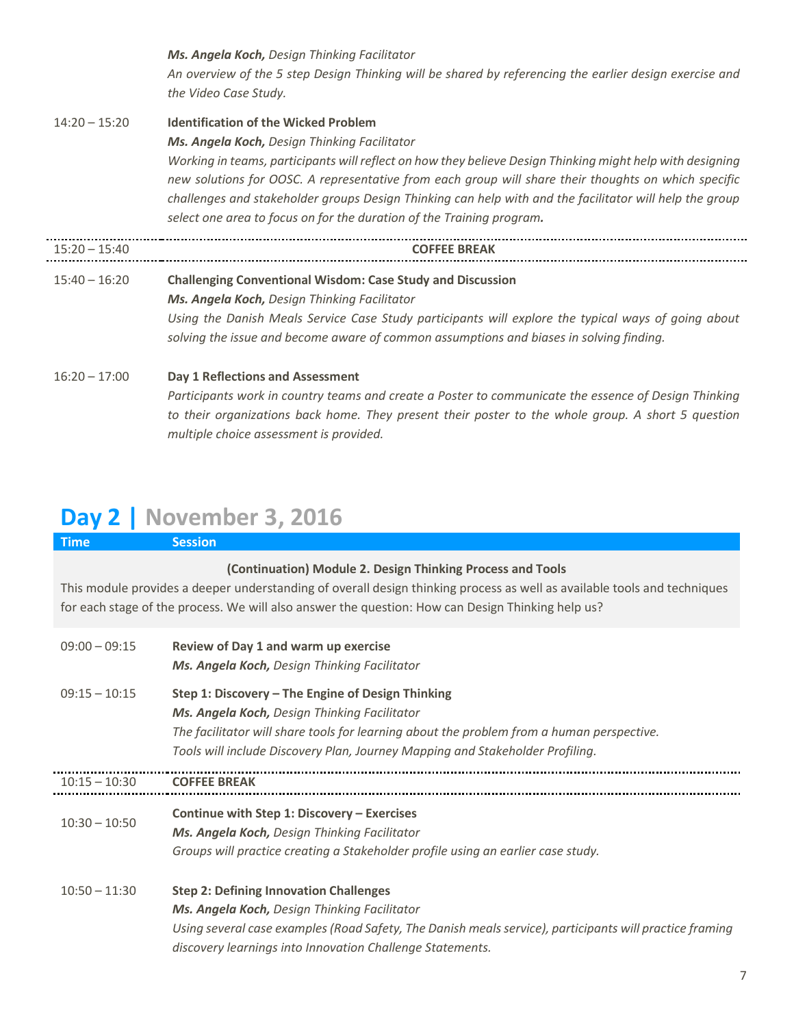*Ms. Angela Koch, Design Thinking Facilitator An overview of the 5 step Design Thinking will be shared by referencing the earlier design exercise and the Video Case Study.* 14:20 – 15:20 **Identification of the Wicked Problem** *Ms. Angela Koch, Design Thinking Facilitator Working in teams, participants will reflect on how they believe Design Thinking might help with designing new solutions for OOSC. A representative from each group will share their thoughts on which specific challenges and stakeholder groups Design Thinking can help with and the facilitator will help the group select one area to focus on for the duration of the Training program.* 15:20 – 15:40 **COFFEE BREAK** 15:40 – 16:20 **Challenging Conventional Wisdom: Case Study and Discussion** *Ms. Angela Koch, Design Thinking Facilitator Using the Danish Meals Service Case Study participants will explore the typical ways of going about solving the issue and become aware of common assumptions and biases in solving finding.* 16:20 – 17:00 **Day 1 Reflections and Assessment** *Participants work in country teams and create a Poster to communicate the essence of Design Thinking to their organizations back home. They present their poster to the whole group. A short 5 question multiple choice assessment is provided.*

# **Day 2 | November 3, 2016**

| <b>Time</b>     | <b>Session</b>                                                                                                                                                                                                                                                                              |
|-----------------|---------------------------------------------------------------------------------------------------------------------------------------------------------------------------------------------------------------------------------------------------------------------------------------------|
|                 | (Continuation) Module 2. Design Thinking Process and Tools<br>This module provides a deeper understanding of overall design thinking process as well as available tools and techniques<br>for each stage of the process. We will also answer the question: How can Design Thinking help us? |
| $09:00 - 09:15$ | Review of Day 1 and warm up exercise<br>Ms. Angela Koch, Design Thinking Facilitator                                                                                                                                                                                                        |
| $09:15 - 10:15$ | Step 1: Discovery - The Engine of Design Thinking<br>Ms. Angela Koch, Design Thinking Facilitator<br>The facilitator will share tools for learning about the problem from a human perspective.<br>Tools will include Discovery Plan, Journey Mapping and Stakeholder Profiling.             |
| $10:15 - 10:30$ | <b>COFFEE BREAK</b>                                                                                                                                                                                                                                                                         |
| $10:30 - 10:50$ | Continue with Step 1: Discovery - Exercises<br>Ms. Angela Koch, Design Thinking Facilitator<br>Groups will practice creating a Stakeholder profile using an earlier case study.                                                                                                             |
| $10:50 - 11:30$ | <b>Step 2: Defining Innovation Challenges</b><br>Ms. Angela Koch, Design Thinking Facilitator<br>Using several case examples (Road Safety, The Danish meals service), participants will practice framing<br>discovery learnings into Innovation Challenge Statements.                       |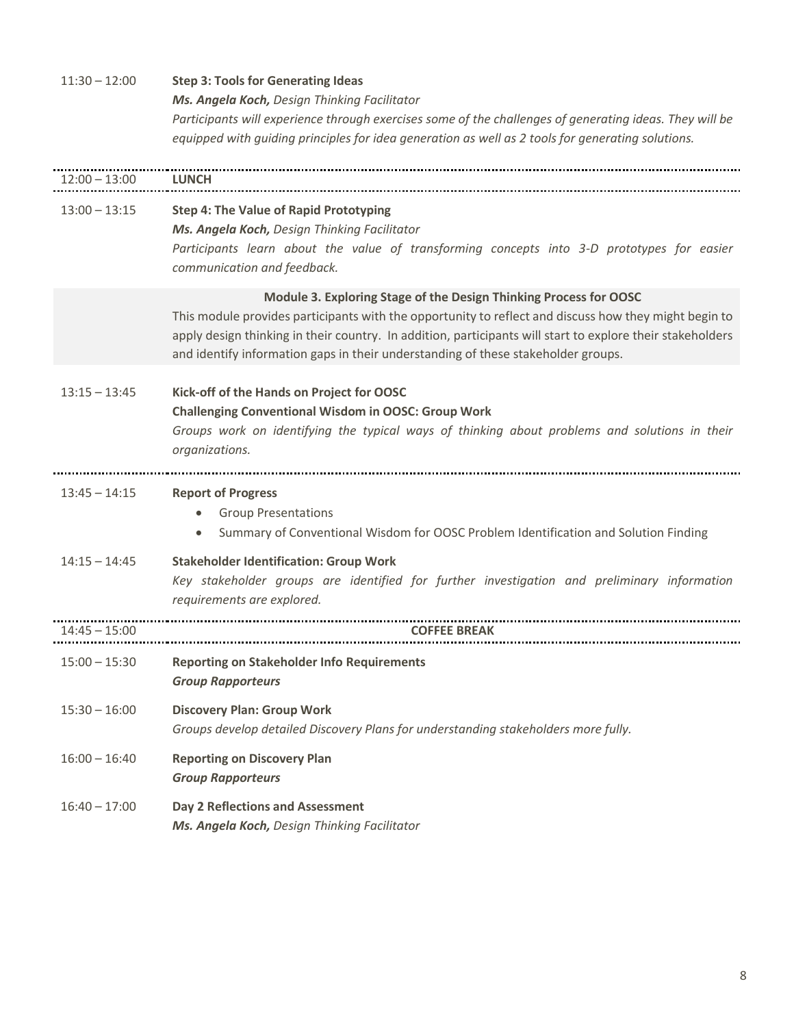| $11:30 - 12:00$ | <b>Step 3: Tools for Generating Ideas</b>                                                                  |
|-----------------|------------------------------------------------------------------------------------------------------------|
|                 | Ms. Angela Koch, Design Thinking Facilitator                                                               |
|                 | Participants will experience through exercises some of the challenges of generating ideas. They will be    |
|                 | equipped with guiding principles for idea generation as well as 2 tools for generating solutions.          |
|                 |                                                                                                            |
| $12:00 - 13:00$ | <b>LUNCH</b>                                                                                               |
| $13:00 - 13:15$ | <b>Step 4: The Value of Rapid Prototyping</b>                                                              |
|                 | Ms. Angela Koch, Design Thinking Facilitator                                                               |
|                 | Participants learn about the value of transforming concepts into 3-D prototypes for easier                 |
|                 | communication and feedback.                                                                                |
|                 | Module 3. Exploring Stage of the Design Thinking Process for OOSC                                          |
|                 | This module provides participants with the opportunity to reflect and discuss how they might begin to      |
|                 | apply design thinking in their country. In addition, participants will start to explore their stakeholders |
|                 | and identify information gaps in their understanding of these stakeholder groups.                          |
| $13:15 - 13:45$ | Kick-off of the Hands on Project for OOSC                                                                  |
|                 | <b>Challenging Conventional Wisdom in OOSC: Group Work</b>                                                 |
|                 | Groups work on identifying the typical ways of thinking about problems and solutions in their              |
|                 | organizations.                                                                                             |
|                 |                                                                                                            |
| $13:45 - 14:15$ | <b>Report of Progress</b>                                                                                  |
|                 | <b>Group Presentations</b>                                                                                 |
|                 | Summary of Conventional Wisdom for OOSC Problem Identification and Solution Finding                        |
| $14:15 - 14:45$ | <b>Stakeholder Identification: Group Work</b>                                                              |
|                 | Key stakeholder groups are identified for further investigation and preliminary information                |
|                 | requirements are explored.                                                                                 |
| $14:45 - 15:00$ | <b>COFFEE BREAK</b>                                                                                        |
|                 |                                                                                                            |
| $15:00 - 15:30$ | <b>Reporting on Stakeholder Info Requirements</b>                                                          |
|                 | <b>Group Rapporteurs</b>                                                                                   |
| $15:30 - 16:00$ | <b>Discovery Plan: Group Work</b>                                                                          |
|                 | Groups develop detailed Discovery Plans for understanding stakeholders more fully.                         |
| $16:00 - 16:40$ | <b>Reporting on Discovery Plan</b>                                                                         |
|                 | <b>Group Rapporteurs</b>                                                                                   |
| $16:40 - 17:00$ | Day 2 Reflections and Assessment                                                                           |
|                 | Ms. Angela Koch, Design Thinking Facilitator                                                               |